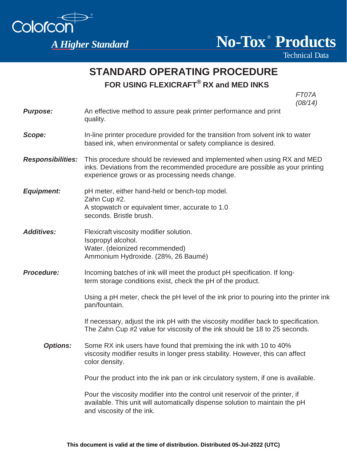



Technical Data

## **STANDARD OPERATING PROCEDURE FOR USING FLEXICRAFT ® RX and MED INKS**

FT07A  $(08/14)$ 

| <b>Purpose:</b>          | (00/17)<br>An effective method to assure peak printer performance and print<br>quality.                                                                                                                     |
|--------------------------|-------------------------------------------------------------------------------------------------------------------------------------------------------------------------------------------------------------|
| Scope:                   | In-line printer procedure provided for the transition from solvent ink to water<br>based ink, when environmental or safety compliance is desired.                                                           |
| <b>Responsibilities:</b> | This procedure should be reviewed and implemented when using RX and MED<br>inks. Deviations from the recommended procedure are possible as your printing<br>experience grows or as processing needs change. |
| <b>Equipment:</b>        | pH meter, either hand-held or bench-top model.<br>Zahn Cup #2.<br>A stopwatch or equivalent timer, accurate to 1.0<br>seconds. Bristle brush.                                                               |
| <b>Additives:</b>        | Flexicraft viscosity modifier solution.<br>Isopropyl alcohol.<br>Water. (deionized recommended)<br>Ammonium Hydroxide. (28%, 26 Baumé)                                                                      |
| <b>Procedure:</b>        | Incoming batches of ink will meet the product pH specification. If long-<br>term storage conditions exist, check the pH of the product.                                                                     |
|                          | Using a pH meter, check the pH level of the ink prior to pouring into the printer ink<br>pan/fountain.                                                                                                      |
|                          | If necessary, adjust the ink pH with the viscosity modifier back to specification.<br>The Zahn Cup #2 value for viscosity of the ink should be 18 to 25 seconds.                                            |
| <b>Options:</b>          | Some RX ink users have found that premixing the ink with 10 to 40%<br>viscosity modifier results in longer press stability. However, this can affect<br>color density.                                      |
|                          | Pour the product into the ink pan or ink circulatory system, if one is available.                                                                                                                           |
|                          | Pour the viscosity modifier into the control unit reservoir of the printer, if<br>available. This unit will automatically dispense solution to maintain the pH<br>and viscosity of the ink.                 |
|                          |                                                                                                                                                                                                             |